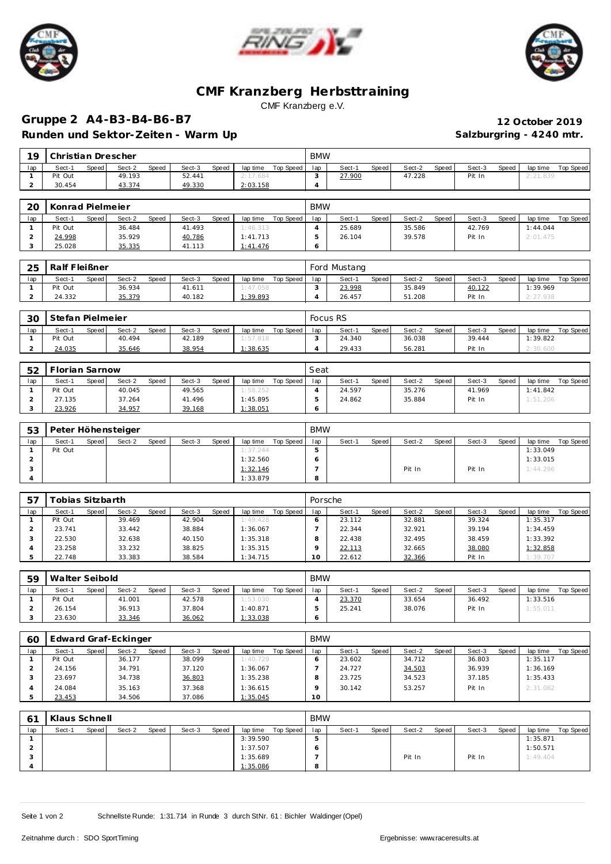





## **CMF Kranzberg Herbsttraining** CMF Kranzberg e.V.

## **Gruppe 2 A4-B3-B4-B6-B7 12 October 2019** Runden und Sektor-Zeiten - Warm Up **Salzburgring - 4240 mtr.** Salzburgring - 4240 mtr.

| 19             | Christian Drescher |       |        |       |        |       |          |           | <b>BMW</b> |              |       |        |       |        |       |          |                  |
|----------------|--------------------|-------|--------|-------|--------|-------|----------|-----------|------------|--------------|-------|--------|-------|--------|-------|----------|------------------|
| lap            | Sect-1             | Speed | Sect-2 | Speed | Sect-3 | Speed | lap time | Top Speed | lap        | Sect-1       | Speed | Sect-2 | Speed | Sect-3 | Speed | lap time | <b>Top Speed</b> |
|                | Pit Out            |       | 49.193 |       | 52.441 |       | 2:17.684 |           | 3          | 27.900       |       | 47.228 |       | Pit In |       | 2:21.839 |                  |
| $\overline{2}$ | 30.454             |       | 43.374 |       | 49.330 |       | 2:03.158 |           | 4          |              |       |        |       |        |       |          |                  |
|                |                    |       |        |       |        |       |          |           |            |              |       |        |       |        |       |          |                  |
| 20             | Konrad Pielmeier   |       |        |       |        |       |          |           | <b>BMW</b> |              |       |        |       |        |       |          |                  |
| lap            | Sect-1             | Speed | Sect-2 | Speed | Sect-3 | Speed | lap time | Top Speed | lap        | Sect-1       | Speed | Sect-2 | Speed | Sect-3 | Speed | lap time | <b>Top Speed</b> |
|                | Pit Out            |       | 36.484 |       | 41.493 |       | 1:46.313 |           | 4          | 25.689       |       | 35.586 |       | 42.769 |       | 1:44.044 |                  |
| $\overline{2}$ | 24.998             |       | 35.929 |       | 40.786 |       | 1:41.713 |           | 5          | 26.104       |       | 39.578 |       | Pit In |       | 2:01.475 |                  |
| 3              | 25.028             |       | 35.335 |       | 41.113 |       | 1:41.476 |           | 6          |              |       |        |       |        |       |          |                  |
|                |                    |       |        |       |        |       |          |           |            |              |       |        |       |        |       |          |                  |
| 25             | Ralf Fleißner      |       |        |       |        |       |          |           |            | Ford Mustang |       |        |       |        |       |          |                  |
| lap            | Sect-1             | Speed | Sect-2 | Speed | Sect-3 | Speed | lap time | Top Speed | lap        | Sect-1       | Speed | Sect-2 | Speed | Sect-3 | Speed | lap time | Top Speed        |
| $\mathbf{1}$   | Pit Out            |       | 36.934 |       | 41.611 |       | 1:47.058 |           | 3          | 23.998       |       | 35.849 |       | 40.122 |       | 1:39.969 |                  |
| $\overline{2}$ | 24.332             |       | 35.379 |       | 40.182 |       | 1:39.893 |           | 4          | 26.457       |       | 51.208 |       | Pit In |       | 2:27.938 |                  |
|                |                    |       |        |       |        |       |          |           |            |              |       |        |       |        |       |          |                  |
| 30             | Stefan Pielmeier   |       |        |       |        |       |          |           |            | Focus RS     |       |        |       |        |       |          |                  |

| 30  | -Stefan Pielmeier |       |        |       |        |       |          |           |     | FOCUS RS |       |        |         |        |       |          |           |
|-----|-------------------|-------|--------|-------|--------|-------|----------|-----------|-----|----------|-------|--------|---------|--------|-------|----------|-----------|
| lap | Sect-1            | Speed | Sect-2 | Speed | Sect-3 | Speed | lap time | Top Speed | lap | Sect-1   | Speed | Sect-2 | Speed i | Sect-3 | Speed | lap time | Top Speed |
|     | Pit Out           |       | 40.494 |       | 42.189 |       | : 57.818 |           |     | 24.340   |       | 36.038 |         | 39.444 |       | 1:39.822 |           |
|     | 24.035            |       | 35.646 |       | 38.954 |       | : 38.635 |           |     | 29.433   |       | 56.281 |         | Pit In |       | 600      |           |

| 52  | Florian Sarnow |         |        |       |        |       |          |           | Seat |        |       |        |       |        |       |          |           |
|-----|----------------|---------|--------|-------|--------|-------|----------|-----------|------|--------|-------|--------|-------|--------|-------|----------|-----------|
| lap | Sect-1         | Speed I | Sect-2 | Speed | Sect-3 | Speed | lap time | Top Speed | lap  | Sect-1 | Speed | Sect-2 | Speed | Sect-3 | Speed | lap time | Top Speed |
|     | Pit Out        |         | 40.045 |       | 49.565 |       | 1:58.252 |           |      | 24.597 |       | 35.276 |       | 41.969 |       | 1:41.842 |           |
|     | 27.135         |         | 37.264 |       | 41.496 |       | 1:45.895 |           |      | 24.862 |       | 35.884 |       | Pit In |       | 1:51.206 |           |
|     | 23.926         |         | 34.957 |       | 39.168 |       | 1:38.051 |           |      |        |       |        |       |        |       |          |           |

| 53  |         |       | Peter Höhensteiger |       |        |       |          |           | <b>BMW</b> |        |       |        |       |        |       |          |           |
|-----|---------|-------|--------------------|-------|--------|-------|----------|-----------|------------|--------|-------|--------|-------|--------|-------|----------|-----------|
| lap | Sect-1  | Speed | Sect-2             | Speed | Sect-3 | Speed | lap time | Top Speed | lap        | Sect-1 | Speed | Sect-2 | Speed | Sect-3 | Speed | lap time | Top Speed |
|     | Pit Out |       |                    |       |        |       | 1:37.244 |           |            |        |       |        |       |        |       | 1:33.049 |           |
|     |         |       |                    |       |        |       | 1:32.560 |           |            |        |       |        |       |        |       | 1:33.015 |           |
|     |         |       |                    |       |        |       | 1:32.146 |           |            |        |       | Pit In |       | Pit In |       | 1:44.296 |           |
|     |         |       |                    |       |        |       | 1:33.879 |           |            |        |       |        |       |        |       |          |           |

| 57  | ⊺obias Sitzbarth |       |        |       |        |       |          |           | Porsche   |        |       |        |       |        |       |          |           |
|-----|------------------|-------|--------|-------|--------|-------|----------|-----------|-----------|--------|-------|--------|-------|--------|-------|----------|-----------|
| lap | Sect-1           | Speed | Sect-2 | Speed | Sect-3 | Speed | lap time | Top Speed | lap       | Sect-1 | Speed | Sect-2 | Speed | Sect-3 | Speed | lap time | Top Speed |
|     | Pit Out          |       | 39.469 |       | 42.904 |       | 1:49.428 |           |           | 23.112 |       | 32.881 |       | 39.324 |       | 1:35.317 |           |
|     | 23.741           |       | 33.442 |       | 38.884 |       | 1:36.067 |           |           | 22.344 |       | 32.921 |       | 39.194 |       | 1:34.459 |           |
|     | 22.530           |       | 32.638 |       | 40.150 |       | 1:35.318 |           |           | 22.438 |       | 32.495 |       | 38.459 |       | 1:33.392 |           |
|     | 23.258           |       | 33.232 |       | 38.825 |       | 1:35.315 |           |           | 22.113 |       | 32.665 |       | 38.080 |       | 1:32.858 |           |
|     | 22.748           |       | 33.383 |       | 38.584 |       | 1:34.715 |           | $10^{-1}$ | 22.612 |       | 32.366 |       | Pit In |       | 1:39.707 |           |

| 59  | Walter Seibold |       |        |       |        |       |          |           | <b>BMW</b> |        |       |        |       |        |              |          |           |
|-----|----------------|-------|--------|-------|--------|-------|----------|-----------|------------|--------|-------|--------|-------|--------|--------------|----------|-----------|
| lap | Sect-1         | Speed | Sect-2 | Speed | Sect-3 | Speed | lap time | Top Speed | lap        | Sect-1 | Speed | Sect-2 | Speed | Sect-3 | <b>Speed</b> | lap time | Top Speed |
|     | Pit Out        |       | 41.001 |       | 42.578 |       | 1:53.030 |           |            | 23.370 |       | 33.654 |       | 36.492 |              | 1:33.516 |           |
|     | 26.154         |       | 36.913 |       | 37.804 |       | 1:40.871 |           |            | 25.241 |       | 38.076 |       | Pit In |              | 1:55.011 |           |
|     | 23.630         |       | 33.346 |       | 36.062 |       | 1:33.038 |           |            |        |       |        |       |        |              |          |           |

| 60  | Edward Graf-Eckinger |       |        |       |        |       |          |           | <b>BMW</b> |        |         |        |       |        |       |          |           |
|-----|----------------------|-------|--------|-------|--------|-------|----------|-----------|------------|--------|---------|--------|-------|--------|-------|----------|-----------|
| lap | Sect-1               | Speed | Sect-2 | Speed | Sect-3 | Speed | lap time | Top Speed | lap        | Sect-1 | Speed ! | Sect-2 | Speed | Sect-3 | Speed | lap time | Top Speed |
|     | Pit Out              |       | 36.177 |       | 38.099 |       | 1:40.729 |           |            | 23.602 |         | 34.712 |       | 36.803 |       | 1:35.117 |           |
|     | 24.156               |       | 34.791 |       | 37.120 |       | 1:36.067 |           |            | 24.727 |         | 34.503 |       | 36.939 |       | 1:36.169 |           |
|     | 23.697               |       | 34.738 |       | 36.803 |       | 1:35.238 |           |            | 23.725 |         | 34.523 |       | 37.185 |       | 1:35.433 |           |
|     | 24.084               |       | 35.163 |       | 37.368 |       | 1:36.615 |           |            | 30.142 |         | 53.257 |       | Pit In |       | 2:31.082 |           |
|     | 23.453               |       | 34.506 |       | 37.086 |       | 1:35.045 |           | 10         |        |         |        |       |        |       |          |           |

| 61  | Klaus Schnell |       |        |       |        |       |          |           | <b>BMW</b> |        |       |        |       |        |       |          |           |
|-----|---------------|-------|--------|-------|--------|-------|----------|-----------|------------|--------|-------|--------|-------|--------|-------|----------|-----------|
| lap | Sect-1        | Speed | Sect-2 | Speed | Sect-3 | Speed | lap time | Top Speed | lap        | Sect-1 | Speed | Sect-2 | Speed | Sect-3 | Speed | lap time | Top Speed |
|     |               |       |        |       |        |       | 3:39.590 |           |            |        |       |        |       |        |       | 1:35.871 |           |
|     |               |       |        |       |        |       | 1:37.507 |           |            |        |       |        |       |        |       | 1:50.571 |           |
|     |               |       |        |       |        |       | 1:35.689 |           |            |        |       | Pit In |       | Pit In |       | 1:49.404 |           |
|     |               |       |        |       |        |       | 1:35.086 |           |            |        |       |        |       |        |       |          |           |

Seite 1 von 2 Schnellste Runde: 1:31.714 in Runde 3 durch StNr. 61 : Bichler Waldinger (Opel)